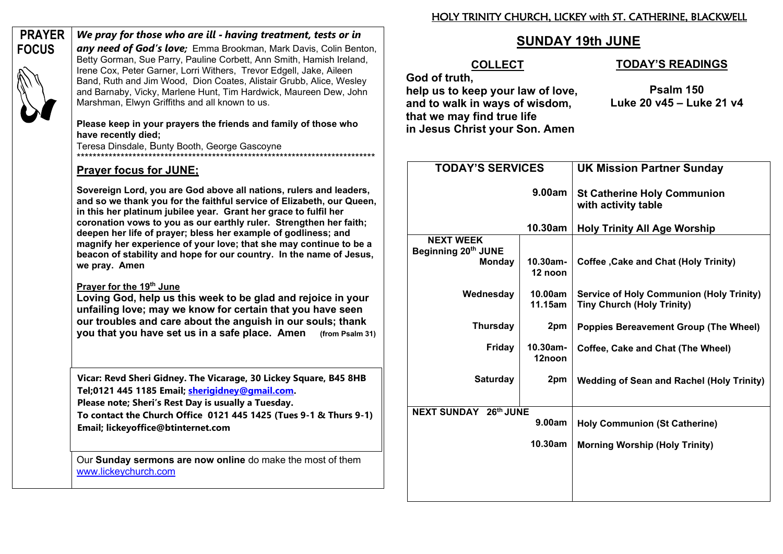#### HOLY TRINITY CHURCH, LICKEY with ST. CATHERINE, BLACKWELL

# **SUNDAY 19th JUNE**

## **COLLECT**

# **God of truth,**

# **help us to keep your law of love, and to walk in ways of wisdom, that we may find true life in Jesus Christ your Son. Amen**

### **TODAY¶S READINGS**

**Psalm 150 Luke 20 v45 ± Luke 21 v4**

| <b>TODAY'S SERVICES</b>                           |                        | <b>UK Mission Partner Sunday</b>                                                     |
|---------------------------------------------------|------------------------|--------------------------------------------------------------------------------------|
| 9.00am                                            |                        | <b>St Catherine Holy Communion</b><br>with activity table                            |
| 10.30am                                           |                        | <b>Holy Trinity All Age Worship</b>                                                  |
| <b>NEXT WEEK</b><br>Beginning 20th JUNE<br>Monday | $10.30$ am-<br>12 noon | <b>Coffee , Cake and Chat (Holy Trinity)</b>                                         |
| Wednesday                                         | 10.00am<br>11.15am     | <b>Service of Holy Communion (Holy Trinity)</b><br><b>Tiny Church (Holy Trinity)</b> |
| <b>Thursday</b>                                   | 2pm                    | <b>Poppies Bereavement Group (The Wheel)</b>                                         |
| Friday                                            | 10.30am-<br>12noon     | Coffee, Cake and Chat (The Wheel)                                                    |
| <b>Saturday</b>                                   | 2pm                    | <b>Wedding of Sean and Rachel (Holy Trinity)</b>                                     |
| <b>NEXT SUNDAY 26th JUNE</b>                      |                        |                                                                                      |
| 9.00am                                            |                        | <b>Holy Communion (St Catherine)</b>                                                 |
| 10.30am                                           |                        | <b>Morning Worship (Holy Trinity)</b>                                                |
|                                                   |                        |                                                                                      |

**PRAYER FOCUS**

**any need of God's love**: Emma Brookman, Mark Davis, Colin Benton, Betty Gorman, Sue Parry, Pauline Corbett, Ann Smith, Hamish Ireland, Irene Cox, Peter Garner, Lorri Withers, Trevor Edgell, Jake, Aileen Band, Ruth and Jim Wood, Dion Coates, Alistair Grubb, Alice, Wesley

and Barnaby, Vicky, Marlene Hunt, Tim Hardwick, Maureen Dew, John Marshman, Elwyn Griffiths and all known to us.

*We pray for those who are ill - having treatment, tests or in* 

### **Please keep in your prayers the friends and family of those who have recently died;**

Teresa Dinsdale, Bunty Booth, George Gascoyne \*\*\*\*\*\*\*\*\*\*\*\*\*\*\*\*\*\*\*\*\*\*\*\*\*\*\*\*\*\*\*\*\*\*\*\*\*\*\*\*\*\*\*\*\*\*\*\*\*\*\*\*\*\*\*\*\*\*\*\*\*\*\*\*\*\*\*\*\*\*\*\*\*\*\*

# **Prayer focus for JUNE;**

**Sovereign Lord, you are God above all nations, rulers and leaders, and so we thank you for the faithful service of Elizabeth, our Queen, in this her platinum jubilee year. Grant her grace to fulfil her coronation vows to you as our earthly ruler. Strengthen her faith; deepen her life of prayer; bless her example of godliness; and magnify her experience of your love; that she may continue to be a beacon of stability and hope for our country. In the name of Jesus, we pray. Amen** 

# **Prayer for the 19th June**

**Loving God, help us this week to be glad and rejoice in your unfailing love; may we know for certain that you have seen our troubles and care about the anguish in our souls; thank you that you have set us in a safe place. Amen (from Psalm 31)**

**Vicar: Revd Sheri Gidney. The Vicarage, 30 Lickey Square, B45 8HB Tel;0121 445 1185 Email; sherigidney@gmail.com. Please note; Sheri·s Rest Day is usually a Tuesday.**

**To contact the Church Office 0121 445 1425 (Tues 9-1 & Thurs 9-1) Email; lickeyoffice@btinternet.com**

Our **Sunday sermons are now online** do make the most of them www.lickeychurch.com